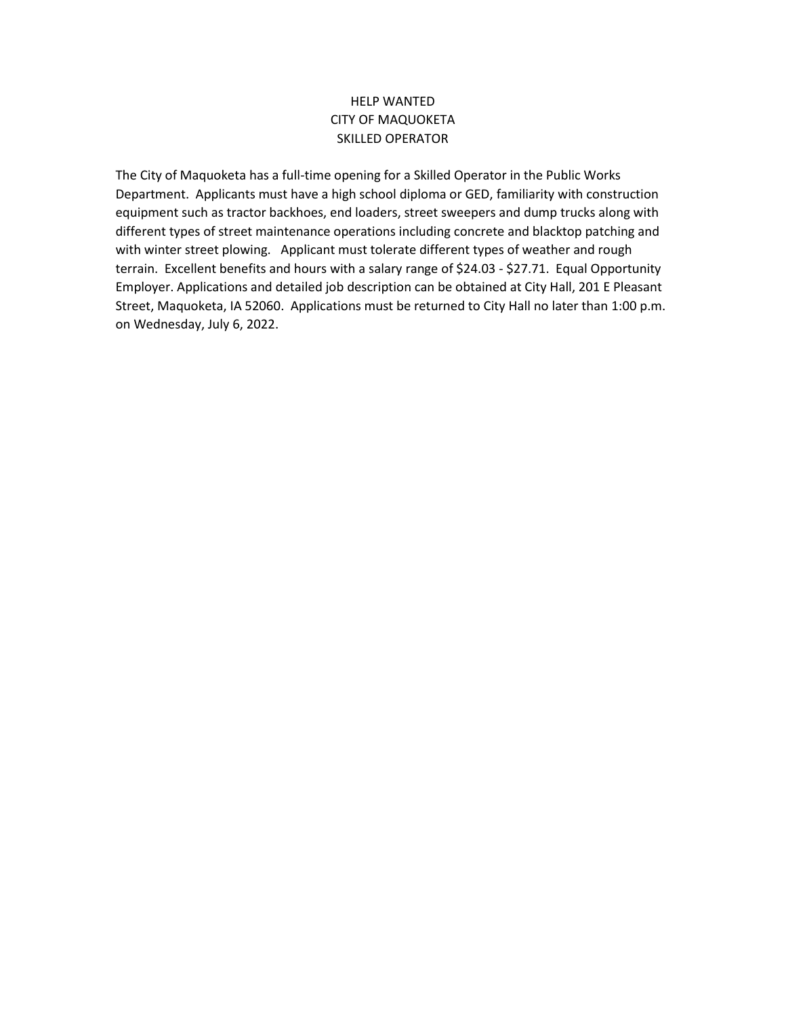#### HELP WANTED CITY OF MAQUOKETA SKILLED OPERATOR

The City of Maquoketa has a full-time opening for a Skilled Operator in the Public Works Department. Applicants must have a high school diploma or GED, familiarity with construction equipment such as tractor backhoes, end loaders, street sweepers and dump trucks along with different types of street maintenance operations including concrete and blacktop patching and with winter street plowing. Applicant must tolerate different types of weather and rough terrain. Excellent benefits and hours with a salary range of \$24.03 - \$27.71. Equal Opportunity Employer. Applications and detailed job description can be obtained at City Hall, 201 E Pleasant Street, Maquoketa, IA 52060. Applications must be returned to City Hall no later than 1:00 p.m. on Wednesday, July 6, 2022.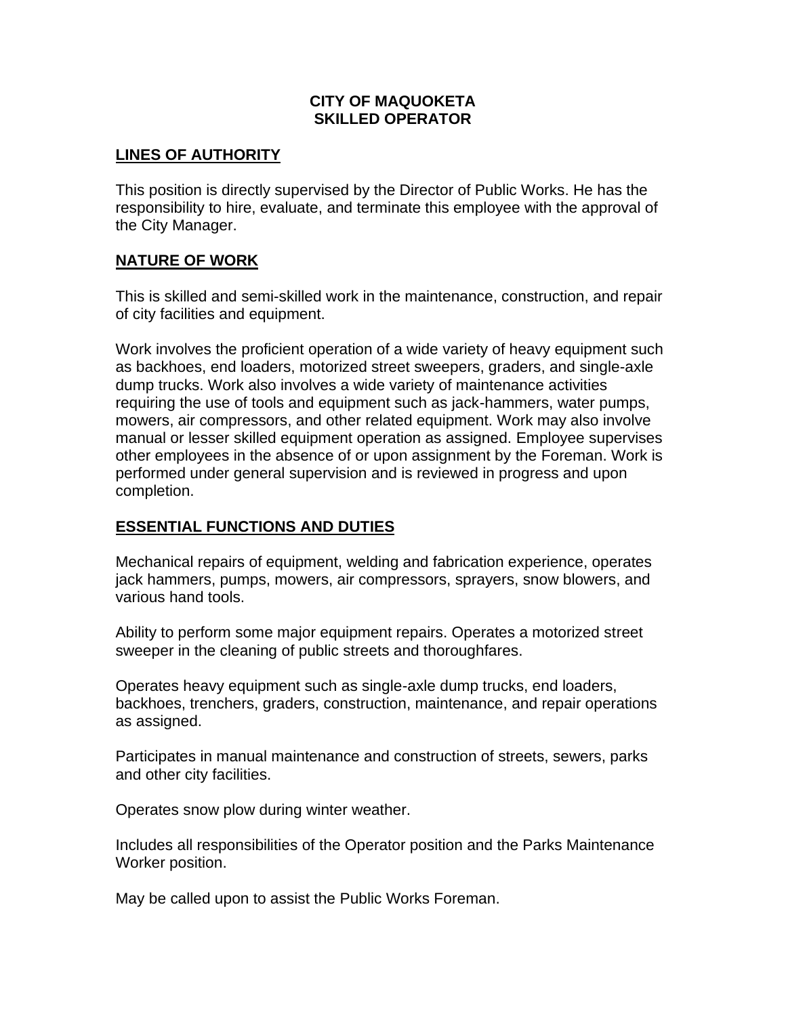### **CITY OF MAQUOKETA SKILLED OPERATOR**

## **LINES OF AUTHORITY**

This position is directly supervised by the Director of Public Works. He has the responsibility to hire, evaluate, and terminate this employee with the approval of the City Manager.

## **NATURE OF WORK**

This is skilled and semi-skilled work in the maintenance, construction, and repair of city facilities and equipment.

Work involves the proficient operation of a wide variety of heavy equipment such as backhoes, end loaders, motorized street sweepers, graders, and single-axle dump trucks. Work also involves a wide variety of maintenance activities requiring the use of tools and equipment such as jack-hammers, water pumps, mowers, air compressors, and other related equipment. Work may also involve manual or lesser skilled equipment operation as assigned. Employee supervises other employees in the absence of or upon assignment by the Foreman. Work is performed under general supervision and is reviewed in progress and upon completion.

### **ESSENTIAL FUNCTIONS AND DUTIES**

Mechanical repairs of equipment, welding and fabrication experience, operates jack hammers, pumps, mowers, air compressors, sprayers, snow blowers, and various hand tools.

Ability to perform some major equipment repairs. Operates a motorized street sweeper in the cleaning of public streets and thoroughfares.

Operates heavy equipment such as single-axle dump trucks, end loaders, backhoes, trenchers, graders, construction, maintenance, and repair operations as assigned.

Participates in manual maintenance and construction of streets, sewers, parks and other city facilities.

Operates snow plow during winter weather.

Includes all responsibilities of the Operator position and the Parks Maintenance Worker position.

May be called upon to assist the Public Works Foreman.